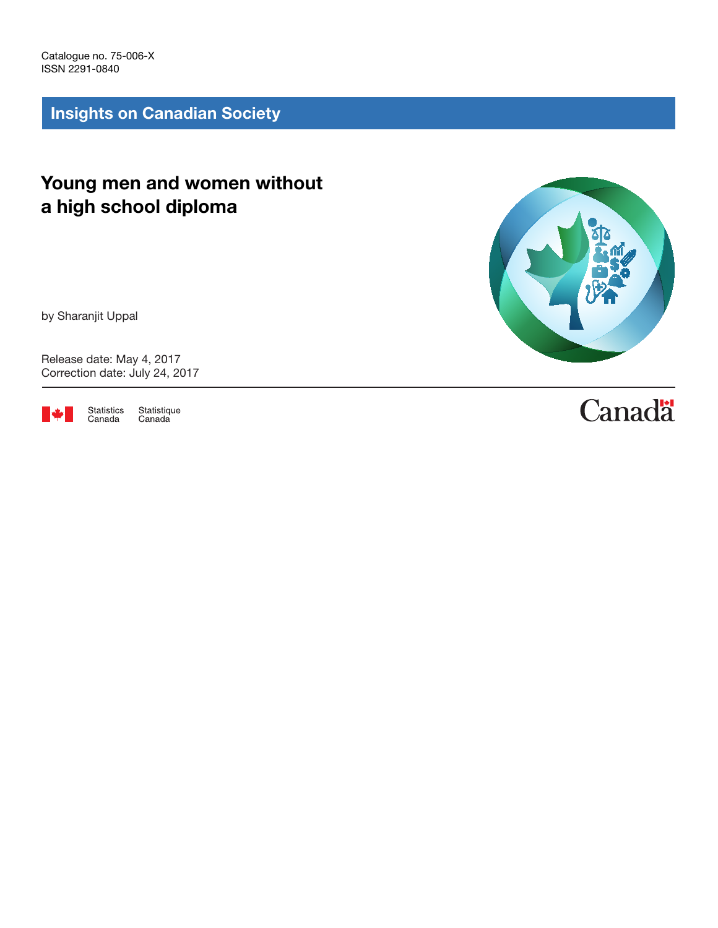Catalogue no. 75-006-X ISSN 2291-0840

Insights on Canadian Society

# Young men and women without a high school diploma

by Sharanjit Uppal

Release date: May 4, 2017 Correction date: July 24, 2017



Statistique<br>Canada Statistics<br>Canada



# **Canadä**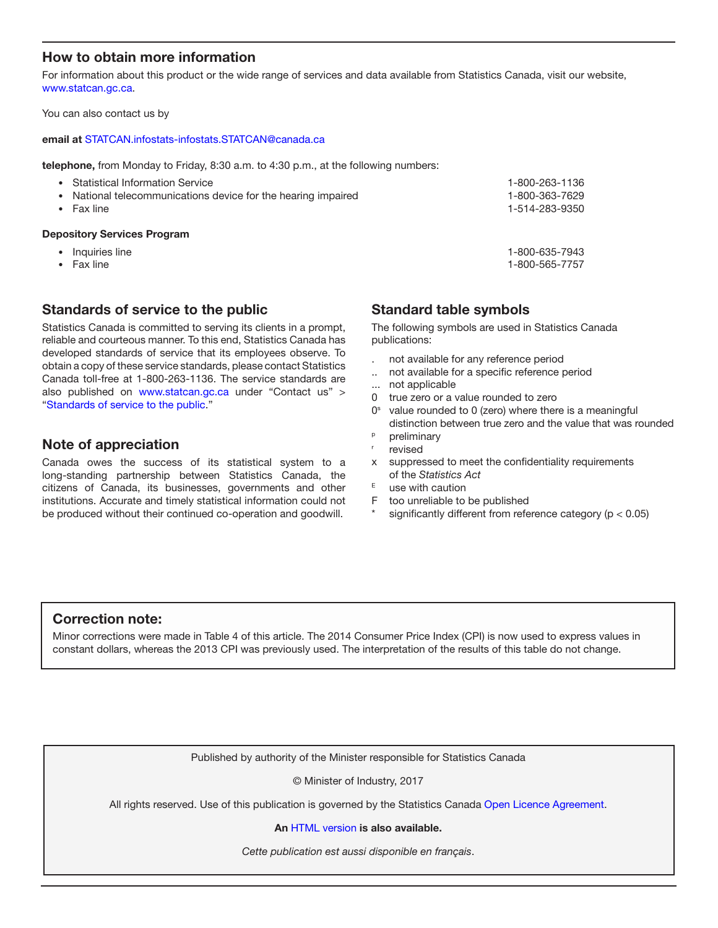# How to obtain more information

For information about this product or the wide range of services and data available from Statistics Canada, visit our website, [www.statcan.gc.ca.](http://www.statcan.gc.ca)

You can also contact us by

#### email at [STATCAN.infostats-infostats.STATCAN@canada.ca](mailto:STATCAN.infostats-infostats.STATCAN%40canada.ca?subject=)

telephone, from Monday to Friday, 8:30 a.m. to 4:30 p.m., at the following numbers:

| <b>Statistical Information Service</b>                      | 1-800-263-1136 |
|-------------------------------------------------------------|----------------|
| National telecommunications device for the hearing impaired | 1-800-363-7629 |
| Fax line                                                    | 1-514-283-9350 |
| <b>Depository Services Program</b>                          |                |

- Inquiries line 1-800-635-7943
- Fax line 1-800-565-7757

# Standards of service to the public

Statistics Canada is committed to serving its clients in a prompt, reliable and courteous manner. To this end, Statistics Canada has developed standards of service that its employees observe. To obtain a copy of these service standards, please contact Statistics Canada toll-free at 1-800-263-1136. The service standards are also published on www.statcan.gc.ca under "Contact us" > "[Standards of service to the public](http://www.statcan.gc.ca/eng/about/service/standards)."

# Note of appreciation

Canada owes the success of its statistical system to a long-standing partnership between Statistics Canada, the citizens of Canada, its businesses, governments and other institutions. Accurate and timely statistical information could not be produced without their continued co-operation and goodwill.

# Standard table symbols

The following symbols are used in Statistics Canada publications:

- . not available for any reference period
- .. not available for a specific reference period
- not applicable
- 0 true zero or a value rounded to zero
- $0<sup>s</sup>$  value rounded to 0 (zero) where there is a meaningful distinction between true zero and the value that was rounded
- <sup>p</sup> preliminary
- revised
- x suppressed to meet the confidentiality requirements of the *Statistics Act*
- $E$  use with caution
- F too unreliable to be published
- significantly different from reference category ( $p < 0.05$ )

# Correction note:

Minor corrections were made in Table 4 of this article. The 2014 Consumer Price Index (CPI) is now used to express values in constant dollars, whereas the 2013 CPI was previously used. The interpretation of the results of this table do not change.

Published by authority of the Minister responsible for Statistics Canada

© Minister of Industry, 2017

All rights reserved. Use of this publication is governed by the Statistics Canada [Open Licence Agreement](http://www.statcan.gc.ca/eng/reference/licence-eng.htm).

#### An [HTML version](http://www.statcan.gc.ca/pub/75-006-x/2017001/article/14824-eng.htm) is also available.

*Cette publication est aussi disponible en français*.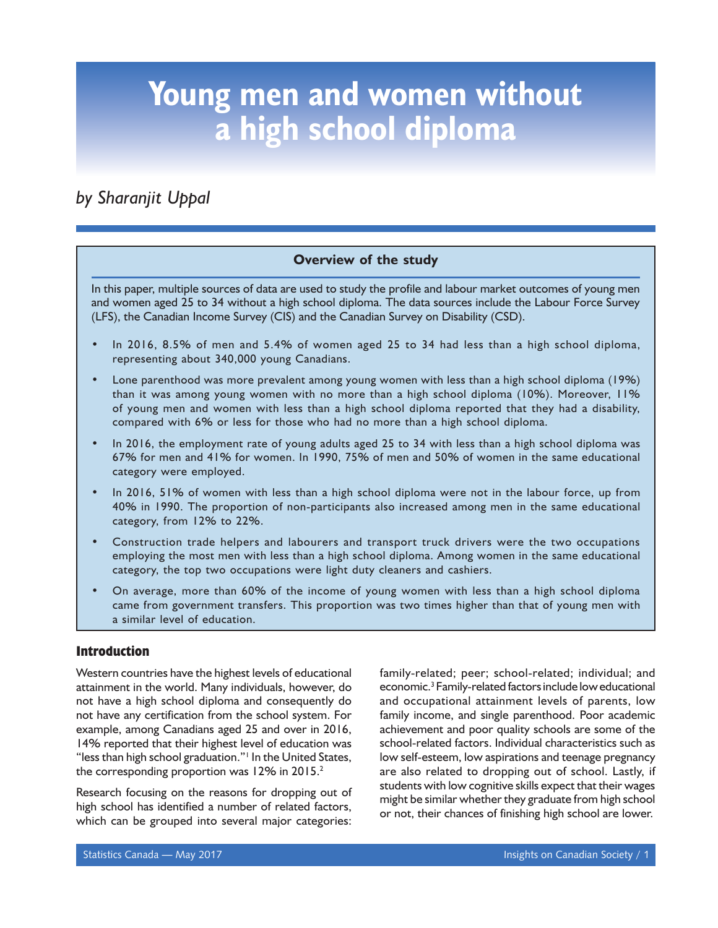# *by Sharanjit Uppal*

# **Overview of the study**

In this paper, multiple sources of data are used to study the profile and labour market outcomes of young men and women aged 25 to 34 without a high school diploma. The data sources include the Labour Force Survey (LFS), the Canadian Income Survey (CIS) and the Canadian Survey on Disability (CSD).

- In 2016, 8.5% of men and 5.4% of women aged 25 to 34 had less than a high school diploma, representing about 340,000 young Canadians.
- Lone parenthood was more prevalent among young women with less than a high school diploma (19%) than it was among young women with no more than a high school diploma (10%). Moreover, 11% of young men and women with less than a high school diploma reported that they had a disability, compared with 6% or less for those who had no more than a high school diploma.
- In 2016, the employment rate of young adults aged 25 to 34 with less than a high school diploma was 67% for men and 41% for women. In 1990, 75% of men and 50% of women in the same educational category were employed.
- In 2016, 51% of women with less than a high school diploma were not in the labour force, up from 40% in 1990. The proportion of non-participants also increased among men in the same educational category, from 12% to 22%.
- Construction trade helpers and labourers and transport truck drivers were the two occupations employing the most men with less than a high school diploma. Among women in the same educational category, the top two occupations were light duty cleaners and cashiers.
- On average, more than 60% of the income of young women with less than a high school diploma came from government transfers. This proportion was two times higher than that of young men with a similar level of education.

# **Introduction**

Western countries have the highest levels of educational attainment in the world. Many individuals, however, do not have a high school diploma and consequently do not have any certification from the school system. For example, among Canadians aged 25 and over in 2016, 14% reported that their highest level of education was "less than high school graduation."<sup>|</sup> In the United States, the corresponding proportion was  $12\%$  in 2015.<sup>2</sup>

Research focusing on the reasons for dropping out of high school has identified a number of related factors, which can be grouped into several major categories:

family-related; peer; school-related; individual; and economic.<sup>3</sup> Family-related factors include low educational and occupational attainment levels of parents, low family income, and single parenthood. Poor academic achievement and poor quality schools are some of the school-related factors. Individual characteristics such as low self-esteem, low aspirations and teenage pregnancy are also related to dropping out of school. Lastly, if students with low cognitive skills expect that their wages might be similar whether they graduate from high school or not, their chances of finishing high school are lower.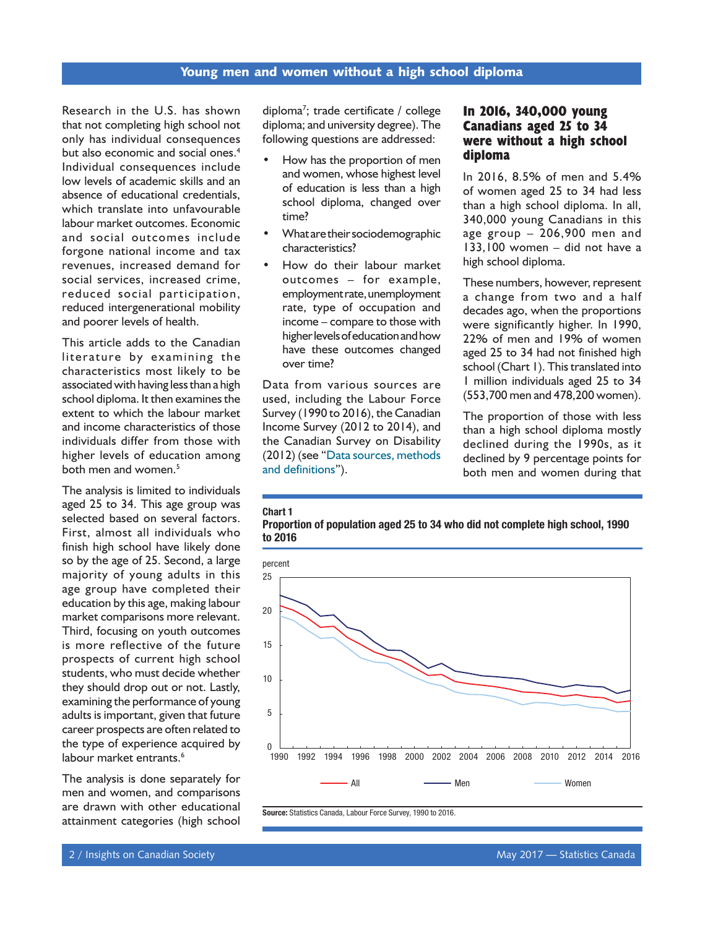Research in the U.S. has shown that not completing high school not only has individual consequences but also economic and social ones.<sup>4</sup> Individual consequences include low levels of academic skills and an absence of educational credentials, which translate into unfavourable labour market outcomes. Economic and social outcomes include forgone national income and tax revenues, increased demand for social services, increased crime, reduced social participation, reduced intergenerational mobility and poorer levels of health.

This article adds to the Canadian literature by examining the characteristics most likely to be associated with having less than a high school diploma. It then examines the extent to which the labour market and income characteristics of those individuals differ from those with higher levels of education among both men and women.<sup>5</sup>

The analysis is limited to individuals aged 25 to 34. This age group was selected based on several factors. First, almost all individuals who finish high school have likely done so by the age of 25. Second, a large majority of young adults in this age group have completed their education by this age, making labour market comparisons more relevant. Third, focusing on youth outcomes is more reflective of the future prospects of current high school students, who must decide whether they should drop out or not. Lastly, examining the performance of young adults is important, given that future career prospects are often related to the type of experience acquired by labour market entrants.<sup>6</sup>

The analysis is done separately for men and women, and comparisons are drawn with other educational attainment categories (high school

diploma<sup>7</sup>; trade certificate / college diploma; and university degree). The following questions are addressed:

- How has the proportion of men and women, whose highest level of education is less than a high school diploma, changed over time?
- What are their sociodemographic characteristics?
- How do their labour market outcomes – for example, employment rate, unemployment rate, type of occupation and income – compare to those with higher levels of education and how have these outcomes changed over time?

Data from various sources are used, including the Labour Force Survey (1990 to 2016), the Canadian Income Survey (2012 to 2014), and the Canadian Survey on Disability (2012) (see "[Data sources, methods](#page-14-0)  [and definitions](#page-14-0)").

Chart 1

# **In 2016, 340,000 young Canadians aged 25 to 34 were without a high school diploma**

In 2016, 8.5% of men and 5.4% of women aged 25 to 34 had less than a high school diploma. In all, 340,000 young Canadians in this age group – 206,900 men and 133,100 women – did not have a high school diploma.

These numbers, however, represent a change from two and a half decades ago, when the proportions were significantly higher. In 1990, 22% of men and 19% of women aged 25 to 34 had not finished high school (Chart 1). This translated into 1 million individuals aged 25 to 34 (553,700 men and 478,200 women).

The proportion of those with less than a high school diploma mostly declined during the 1990s, as it declined by 9 percentage points for both men and women during that

#### Proportion of population aged 25 to 34 who did not complete high school, 1990 to 2016



Source: Statistics Canada, Labour Force Survey, 1990 to 2016.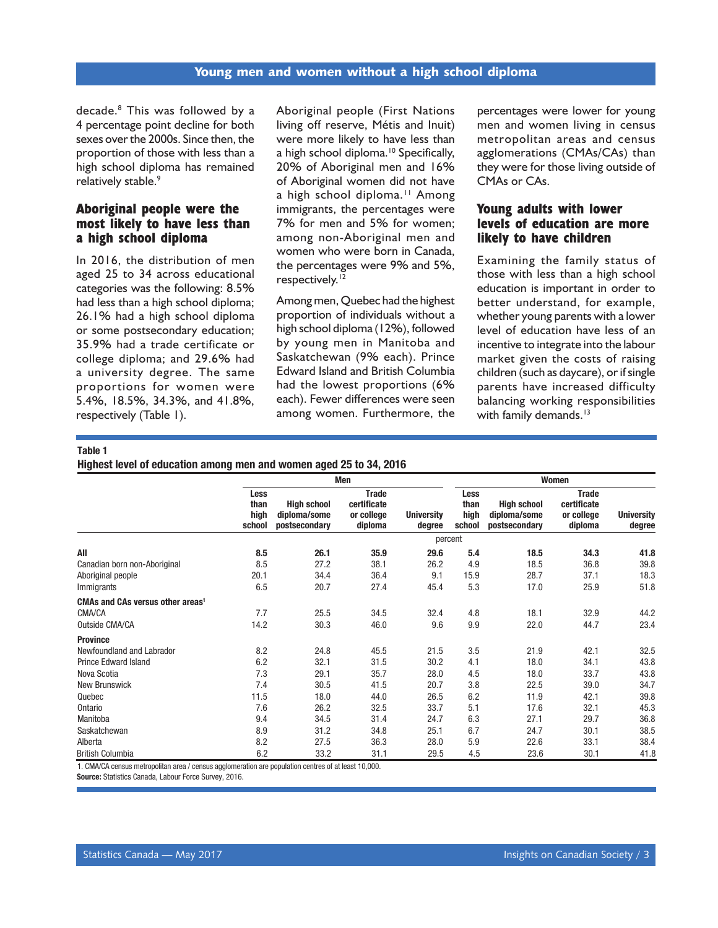decade.8 This was followed by a 4 percentage point decline for both sexes over the 2000s. Since then, the proportion of those with less than a high school diploma has remained relatively stable.<sup>9</sup>

# **Aboriginal people were the most likely to have less than a high school diploma**

In 2016, the distribution of men aged 25 to 34 across educational categories was the following: 8.5% had less than a high school diploma; 26.1% had a high school diploma or some postsecondary education; 35.9% had a trade certificate or college diploma; and 29.6% had a university degree. The same proportions for women were 5.4%, 18.5%, 34.3%, and 41.8%, respectively (Table 1).

Aboriginal people (First Nations living off reserve, Métis and Inuit) were more likely to have less than a high school diploma.<sup>10</sup> Specifically, 20% of Aboriginal men and 16% of Aboriginal women did not have a high school diploma.<sup>11</sup> Among immigrants, the percentages were 7% for men and 5% for women; among non-Aboriginal men and women who were born in Canada, the percentages were 9% and 5%, respectively.<sup>12</sup>

Among men, Quebec had the highest proportion of individuals without a high school diploma (12%), followed by young men in Manitoba and Saskatchewan (9% each). Prince Edward Island and British Columbia had the lowest proportions (6% each). Fewer differences were seen among women. Furthermore, the percentages were lower for young men and women living in census metropolitan areas and census agglomerations (CMAs/CAs) than they were for those living outside of CMAs or CAs.

# **Young adults with lower levels of education are more likely to have children**

Examining the family status of those with less than a high school education is important in order to better understand, for example, whether young parents with a lower level of education have less of an incentive to integrate into the labour market given the costs of raising children (such as daycare), or if single parents have increased difficulty balancing working responsibilities with family demands.<sup>13</sup>

#### Table 1

Highest level of education among men and women aged 25 to 34, 2016

|                                              |                                | Men                                                 |                                                      |                             | Women                          |                                                     |                                                      |                             |
|----------------------------------------------|--------------------------------|-----------------------------------------------------|------------------------------------------------------|-----------------------------|--------------------------------|-----------------------------------------------------|------------------------------------------------------|-----------------------------|
|                                              | Less<br>than<br>high<br>school | <b>High school</b><br>diploma/some<br>postsecondary | <b>Trade</b><br>certificate<br>or college<br>diploma | <b>University</b><br>degree | Less<br>than<br>high<br>school | <b>High school</b><br>diploma/some<br>postsecondary | <b>Trade</b><br>certificate<br>or college<br>diploma | <b>University</b><br>degree |
|                                              |                                |                                                     |                                                      |                             | percent                        |                                                     |                                                      |                             |
| All                                          | 8.5                            | 26.1                                                | 35.9                                                 | 29.6                        | 5.4                            | 18.5                                                | 34.3                                                 | 41.8                        |
| Canadian born non-Aboriginal                 | 8.5                            | 27.2                                                | 38.1                                                 | 26.2                        | 4.9                            | 18.5                                                | 36.8                                                 | 39.8                        |
| Aboriginal people                            | 20.1                           | 34.4                                                | 36.4                                                 | 9.1                         | 15.9                           | 28.7                                                | 37.1                                                 | 18.3                        |
| Immigrants                                   | 6.5                            | 20.7                                                | 27.4                                                 | 45.4                        | 5.3                            | 17.0                                                | 25.9                                                 | 51.8                        |
| CMAs and CAs versus other areas <sup>1</sup> |                                |                                                     |                                                      |                             |                                |                                                     |                                                      |                             |
| CMA/CA                                       | 7.7                            | 25.5                                                | 34.5                                                 | 32.4                        | 4.8                            | 18.1                                                | 32.9                                                 | 44.2                        |
| Outside CMA/CA                               | 14.2                           | 30.3                                                | 46.0                                                 | 9.6                         | 9.9                            | 22.0                                                | 44.7                                                 | 23.4                        |
| <b>Province</b>                              |                                |                                                     |                                                      |                             |                                |                                                     |                                                      |                             |
| Newfoundland and Labrador                    | 8.2                            | 24.8                                                | 45.5                                                 | 21.5                        | 3.5                            | 21.9                                                | 42.1                                                 | 32.5                        |
| <b>Prince Edward Island</b>                  | 6.2                            | 32.1                                                | 31.5                                                 | 30.2                        | 4.1                            | 18.0                                                | 34.1                                                 | 43.8                        |
| Nova Scotia                                  | 7.3                            | 29.1                                                | 35.7                                                 | 28.0                        | 4.5                            | 18.0                                                | 33.7                                                 | 43.8                        |
| <b>New Brunswick</b>                         | 7.4                            | 30.5                                                | 41.5                                                 | 20.7                        | 3.8                            | 22.5                                                | 39.0                                                 | 34.7                        |
| Quebec                                       | 11.5                           | 18.0                                                | 44.0                                                 | 26.5                        | 6.2                            | 11.9                                                | 42.1                                                 | 39.8                        |
| Ontario                                      | 7.6                            | 26.2                                                | 32.5                                                 | 33.7                        | 5.1                            | 17.6                                                | 32.1                                                 | 45.3                        |
| Manitoba                                     | 9.4                            | 34.5                                                | 31.4                                                 | 24.7                        | 6.3                            | 27.1                                                | 29.7                                                 | 36.8                        |
| Saskatchewan                                 | 8.9                            | 31.2                                                | 34.8                                                 | 25.1                        | 6.7                            | 24.7                                                | 30.1                                                 | 38.5                        |
| Alberta                                      | 8.2                            | 27.5                                                | 36.3                                                 | 28.0                        | 5.9                            | 22.6                                                | 33.1                                                 | 38.4                        |
| <b>British Columbia</b>                      | 6.2                            | 33.2                                                | 31.1                                                 | 29.5                        | 4.5                            | 23.6                                                | 30.1                                                 | 41.8                        |

1. CMA/CA census metropolitan area / census agglomeration are population centres of at least 10,000.

Source: Statistics Canada, Labour Force Survey, 2016.

Statistics Canada — May 2017 **Insights on Canadian Society / 3** Statistics Canadian Society / 3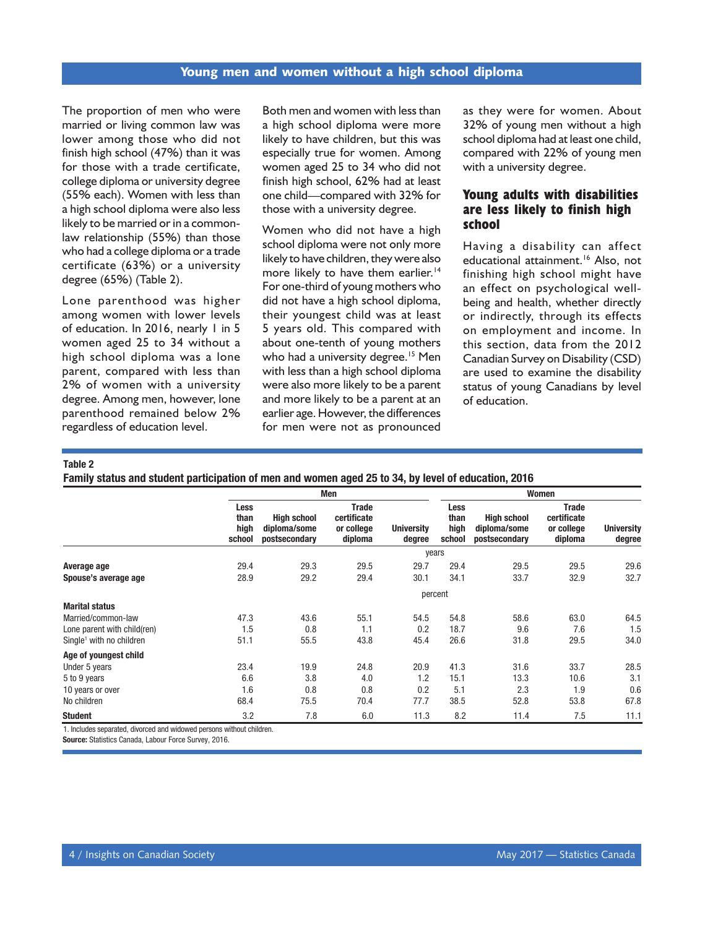The proportion of men who were married or living common law was lower among those who did not finish high school (47%) than it was for those with a trade certificate, college diploma or university degree (55% each). Women with less than a high school diploma were also less likely to be married or in a commonlaw relationship (55%) than those who had a college diploma or a trade certificate (63%) or a university degree (65%) (Table 2).

Lone parenthood was higher among women with lower levels of education. In 2016, nearly 1 in 5 women aged 25 to 34 without a high school diploma was a lone parent, compared with less than 2% of women with a university degree. Among men, however, lone parenthood remained below 2% regardless of education level.

Both men and women with less than a high school diploma were more likely to have children, but this was especially true for women. Among women aged 25 to 34 who did not finish high school, 62% had at least one child—compared with 32% for those with a university degree.

Women who did not have a high school diploma were not only more likely to have children, they were also more likely to have them earlier.<sup>14</sup> For one-third of young mothers who did not have a high school diploma, their youngest child was at least 5 years old. This compared with about one-tenth of young mothers who had a university degree.<sup>15</sup> Men with less than a high school diploma were also more likely to be a parent and more likely to be a parent at an earlier age. However, the differences for men were not as pronounced as they were for women. About 32% of young men without a high school diploma had at least one child, compared with 22% of young men with a university degree.

# **Young adults with disabilities are less likely to finish high school**

Having a disability can affect educational attainment.<sup>16</sup> Also, not finishing high school might have an effect on psychological wellbeing and health, whether directly or indirectly, through its effects on employment and income. In this section, data from the 2012 Canadian Survey on Disability (CSD) are used to examine the disability status of young Canadians by level of education.

#### Table 2

Family status and student participation of men and women aged 25 to 34, by level of education, 2016

|                                       | Men                                                 |                                                                       |                             | Women                                 |                                                     |                                                      |                             |
|---------------------------------------|-----------------------------------------------------|-----------------------------------------------------------------------|-----------------------------|---------------------------------------|-----------------------------------------------------|------------------------------------------------------|-----------------------------|
| <b>Less</b><br>than<br>high<br>school | <b>High school</b><br>diploma/some<br>postsecondary | <b>Trade</b><br>certificate<br>or college<br>diploma                  | <b>University</b><br>degree | <b>Less</b><br>than<br>high<br>school | <b>High school</b><br>diploma/some<br>postsecondary | <b>Trade</b><br>certificate<br>or college<br>diploma | <b>University</b><br>degree |
|                                       |                                                     |                                                                       |                             |                                       |                                                     |                                                      |                             |
| 29.4                                  | 29.3                                                | 29.5                                                                  | 29.7                        | 29.4                                  | 29.5                                                | 29.5                                                 | 29.6                        |
| 28.9                                  | 29.2                                                | 29.4                                                                  | 30.1                        | 34.1                                  | 33.7                                                | 32.9                                                 | 32.7                        |
|                                       |                                                     |                                                                       |                             |                                       |                                                     |                                                      |                             |
|                                       |                                                     |                                                                       |                             |                                       |                                                     |                                                      |                             |
| 47.3                                  | 43.6                                                | 55.1                                                                  | 54.5                        | 54.8                                  | 58.6                                                | 63.0                                                 | 64.5                        |
| 1.5                                   | 0.8                                                 | 1.1                                                                   | 0.2                         | 18.7                                  | 9.6                                                 | 7.6                                                  | 1.5                         |
| 51.1                                  | 55.5                                                | 43.8                                                                  | 45.4                        | 26.6                                  | 31.8                                                | 29.5                                                 | 34.0                        |
|                                       |                                                     |                                                                       |                             |                                       |                                                     |                                                      |                             |
| 23.4                                  | 19.9                                                | 24.8                                                                  | 20.9                        | 41.3                                  | 31.6                                                | 33.7                                                 | 28.5                        |
| 6.6                                   | 3.8                                                 | 4.0                                                                   | 1.2                         | 15.1                                  | 13.3                                                | 10.6                                                 | 3.1                         |
| 1.6                                   | 0.8                                                 | 0.8                                                                   | 0.2                         | 5.1                                   | 2.3                                                 | 1.9                                                  | 0.6                         |
| 68.4                                  | 75.5                                                | 70.4                                                                  | 77.7                        | 38.5                                  | 52.8                                                | 53.8                                                 | 67.8                        |
| 3.2                                   | 7.8                                                 | 6.0                                                                   | 11.3                        | 8.2                                   | 11.4                                                | 7.5                                                  | 11.1                        |
|                                       |                                                     | 1. Includes separated, divorced and widowed persons without children. |                             |                                       | years<br>percent                                    |                                                      |                             |

Source: Statistics Canada, Labour Force Survey, 2016.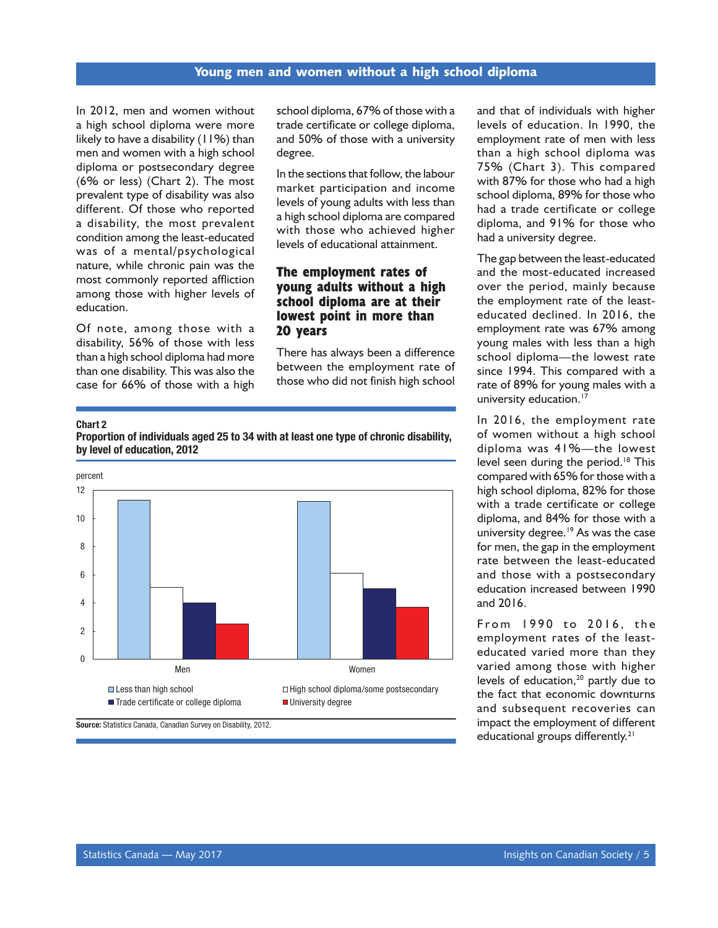In 2012, men and women without a high school diploma were more likely to have a disability (11%) than men and women with a high school diploma or postsecondary degree (6% or less) (Chart 2). The most prevalent type of disability was also different. Of those who reported a disability, the most prevalent condition among the least-educated was of a mental/psychological nature, while chronic pain was the most commonly reported affliction among those with higher levels of education.

Of note, among those with a disability, 56% of those with less than a high school diploma had more than one disability. This was also the case for 66% of those with a high

school diploma, 67% of those with a trade certificate or college diploma, and 50% of those with a university degree.

In the sections that follow, the labour market participation and income levels of young adults with less than a high school diploma are compared with those who achieved higher levels of educational attainment.

## **The employment rates of young adults without a high school diploma are at their lowest point in more than 20 years**

There has always been a difference between the employment rate of those who did not finish high school

#### Chart 2

Proportion of individuals aged 25 to 34 with at least one type of chronic disability, by level of education, 2012



and that of individuals with higher levels of education. In 1990, the employment rate of men with less than a high school diploma was 75% (Chart 3). This compared with 87% for those who had a high school diploma, 89% for those who had a trade certificate or college diploma, and 91% for those who had a university degree.

The gap between the least-educated and the most-educated increased over the period, mainly because the employment rate of the leasteducated declined. In 2016, the employment rate was 67% among young males with less than a high school diploma—the lowest rate since 1994. This compared with a rate of 89% for young males with a university education.<sup>17</sup>

In 2016, the employment rate of women without a high school diploma was 41%—the lowest level seen during the period.<sup>18</sup> This compared with 65% for those with a high school diploma, 82% for those with a trade certificate or college diploma, and 84% for those with a university degree.<sup>19</sup> As was the case for men, the gap in the employment rate between the least-educated and those with a postsecondary education increased between 1990 and 2016.

From 1990 to 2016, the employment rates of the leasteducated varied more than they varied among those with higher levels of education,<sup>20</sup> partly due to the fact that economic downturns and subsequent recoveries can impact the employment of different educational groups differently.<sup>21</sup>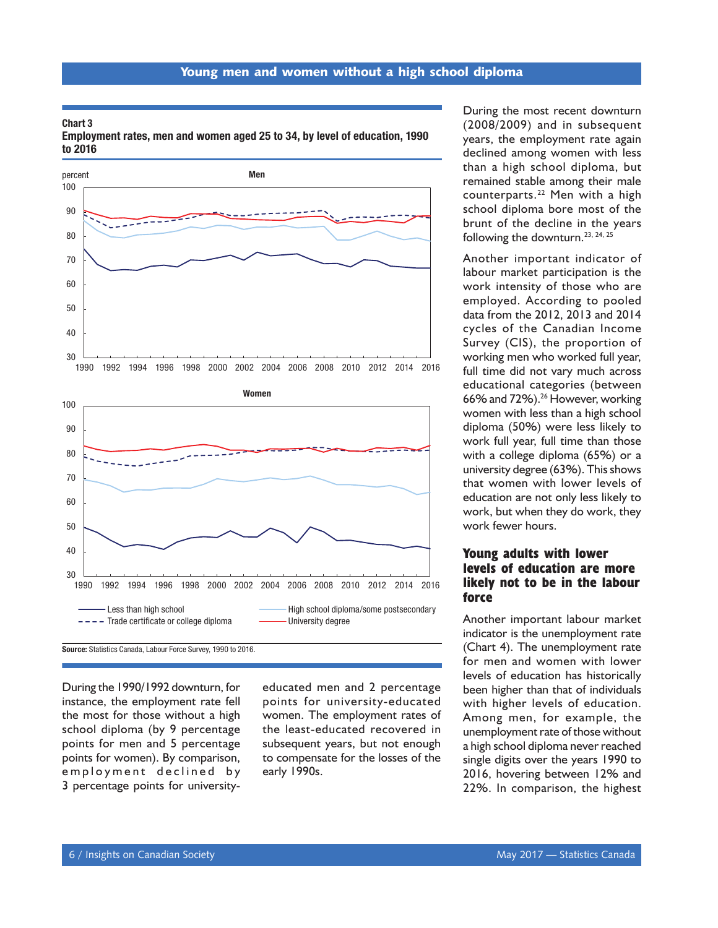#### Chart 3 Employment rates, men and women aged 25 to 34, by level of education, 1990 to 2016



During the 1990/1992 downturn, for instance, the employment rate fell the most for those without a high school diploma (by 9 percentage points for men and 5 percentage points for women). By comparison, em ployment declined by 3 percentage points for university-

educated men and 2 percentage points for university-educated women. The employment rates of the least-educated recovered in subsequent years, but not enough to compensate for the losses of the early 1990s.

During the most recent downturn (2008/2009) and in subsequent years, the employment rate again declined among women with less than a high school diploma, but remained stable among their male counterparts.22 Men with a high school diploma bore most of the brunt of the decline in the years following the downturn.<sup>23, 24, 25</sup>

Another important indicator of labour market participation is the work intensity of those who are employed. According to pooled data from the 2012, 2013 and 2014 cycles of the Canadian Income Survey (CIS), the proportion of working men who worked full year, full time did not vary much across educational categories (between 66% and 72%).<sup>26</sup> However, working women with less than a high school diploma (50%) were less likely to work full year, full time than those with a college diploma (65%) or a university degree (63%). This shows that women with lower levels of education are not only less likely to work, but when they do work, they work fewer hours.

# **Young adults with lower levels of education are more likely not to be in the labour force**

Another important labour market indicator is the unemployment rate (Chart 4). The unemployment rate for men and women with lower levels of education has historically been higher than that of individuals with higher levels of education. Among men, for example, the unemployment rate of those without a high school diploma never reached single digits over the years 1990 to 2016, hovering between 12% and 22%. In comparison, the highest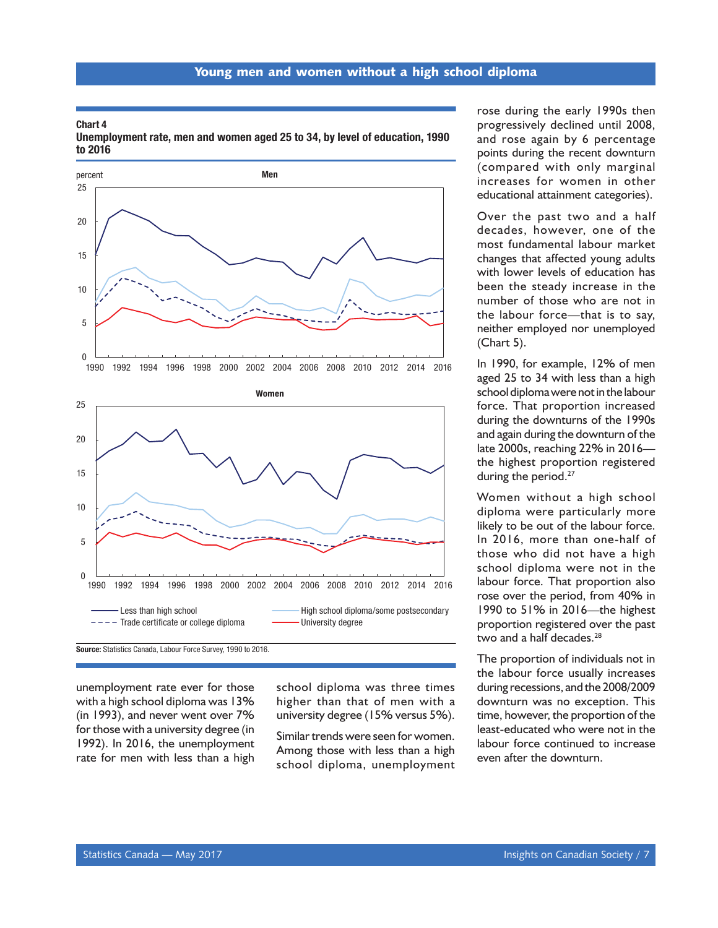#### Chart 4

Unemployment rate, men and women aged 25 to 34, by level of education, 1990 to 2016





Source: Statistics Canada, Labour Force Survey, 1990 to 2016.

unemployment rate ever for those with a high school diploma was 13% (in 1993), and never went over 7% for those with a university degree (in 1992). In 2016, the unemployment rate for men with less than a high

school diploma was three times higher than that of men with a university degree (15% versus 5%).

Similar trends were seen for women. Among those with less than a high school diploma, unemployment rose during the early 1990s then progressively declined until 2008, and rose again by 6 percentage points during the recent downturn (compared with only marginal increases for women in other educational attainment categories).

Over the past two and a half decades, however, one of the most fundamental labour market changes that affected young adults with lower levels of education has been the steady increase in the number of those who are not in the labour force—that is to say, neither employed nor unemployed (Chart 5).

In 1990, for example, 12% of men aged 25 to 34 with less than a high school diploma were not in the labour force. That proportion increased during the downturns of the 1990s and again during the downturn of the late 2000s, reaching 22% in 2016 the highest proportion registered during the period.<sup>27</sup>

Women without a high school diploma were particularly more likely to be out of the labour force. In 2016, more than one-half of those who did not have a high school diploma were not in the labour force. That proportion also rose over the period, from 40% in 1990 to 51% in 2016—the highest proportion registered over the past two and a half decades.<sup>28</sup>

The proportion of individuals not in the labour force usually increases during recessions, and the 2008/2009 downturn was no exception. This time, however, the proportion of the least-educated who were not in the labour force continued to increase even after the downturn.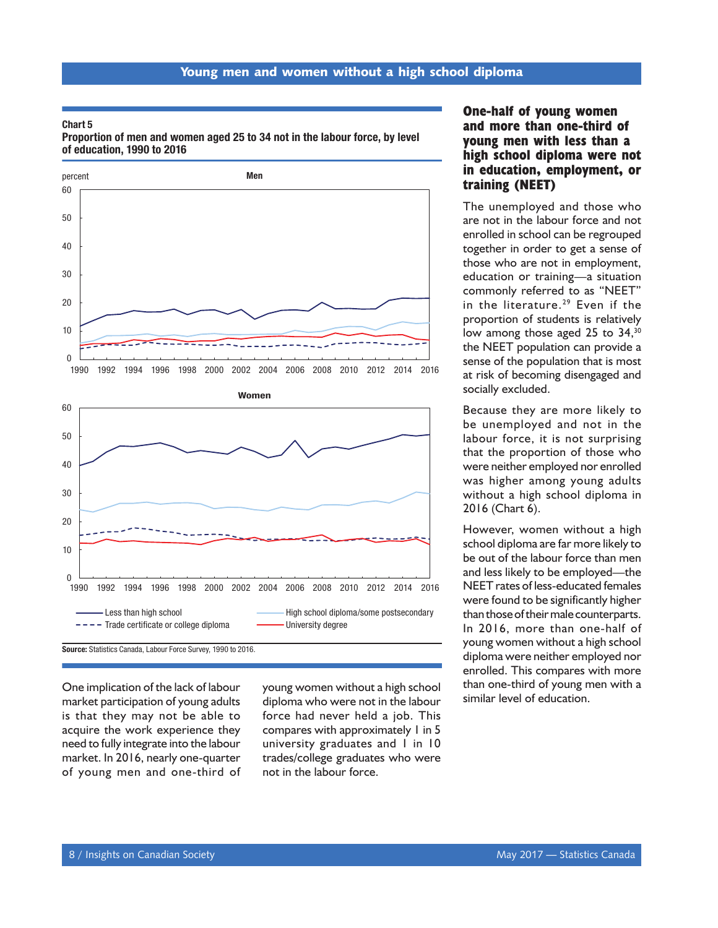#### Chart 5

Proportion of men and women aged 25 to 34 not in the labour force, by level of education, 1990 to 2016





One implication of the lack of labour young women without a high school than one-third of young norse in the la<br>market participation of young adults diploma who were not in the labour similar level of education. market participation of young adults is that they may not be able to acquire the work experience they need to fully integrate into the labour market. In 2016, nearly one-quarter of young men and one-third of

diploma who were not in the labour force had never held a job. This compares with approximately 1 in 5 university graduates and 1 in 10 trades/college graduates who were not in the labour force.

# **One-half of young women and more than one-third of young men with less than a high school diploma were not in education, employment, or training (NEET)**

The unemployed and those who are not in the labour force and not enrolled in school can be regrouped together in order to get a sense of those who are not in employment, education or training—a situation commonly referred to as "NEET" in the literature.<sup>29</sup> Even if the proportion of students is relatively low among those aged 25 to 34,<sup>30</sup> the NEET population can provide a sense of the population that is most at risk of becoming disengaged and socially excluded.

Because they are more likely to be unemployed and not in the labour force, it is not surprising that the proportion of those who were neither employed nor enrolled was higher among young adults without a high school diploma in 2016 (Chart 6).

However, women without a high school diploma are far more likely to be out of the labour force than men and less likely to be employed—the NEET rates of less-educated females were found to be significantly higher than those of their male counterparts. In 2016, more than one-half of young women without a high school diploma were neither employed nor enrolled. This compares with more than one-third of young men with a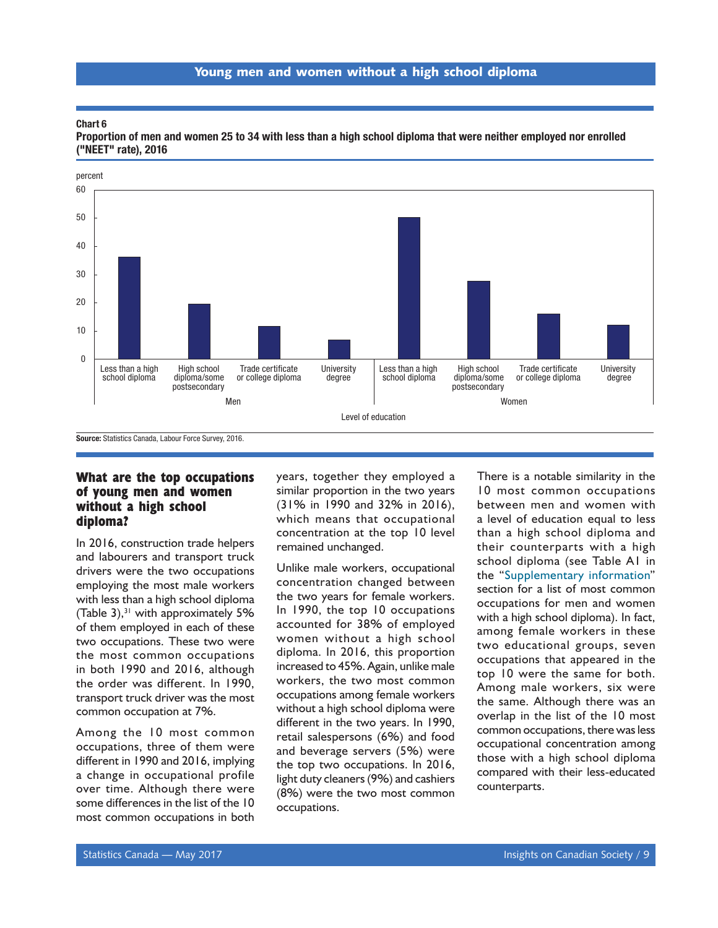#### Chart 6



Proportion of men and women 25 to 34 with less than a high school diploma that were neither employed nor enrolled ("NEET" rate), 2016

# **What are the top occupations of young men and women without a high school diploma?**

In 2016, construction trade helpers and labourers and transport truck drivers were the two occupations employing the most male workers with less than a high school diploma (Table 3), $31$  with approximately 5% of them employed in each of these two occupations. These two were the most common occupations in both 1990 and 2016, although the order was different. In 1990, transport truck driver was the most common occupation at 7%.

Among the 10 most common occupations, three of them were different in 1990 and 2016, implying a change in occupational profile over time. Although there were some differences in the list of the 10 most common occupations in both

years, together they employed a similar proportion in the two years (31% in 1990 and 32% in 2016), which means that occupational concentration at the top 10 level remained unchanged.

Unlike male workers, occupational concentration changed between the two years for female workers. In 1990, the top 10 occupations accounted for 38% of employed women without a high school diploma. In 2016, this proportion increased to 45%. Again, unlike male workers, the two most common occupations among female workers without a high school diploma were different in the two years. In 1990, retail salespersons (6%) and food and beverage servers (5%) were the top two occupations. In 2016, light duty cleaners (9%) and cashiers (8%) were the two most common occupations.

There is a notable similarity in the 10 most common occupations between men and women with a level of education equal to less than a high school diploma and their counterparts with a high school diploma (see Table A1 in the "[Supplementary information](#page-16-0)" section for a list of most common occupations for men and women with a high school diploma). In fact, among female workers in these two educational groups, seven occupations that appeared in the top 10 were the same for both. Among male workers, six were the same. Although there was an overlap in the list of the 10 most common occupations, there was less occupational concentration among those with a high school diploma compared with their less-educated counterparts.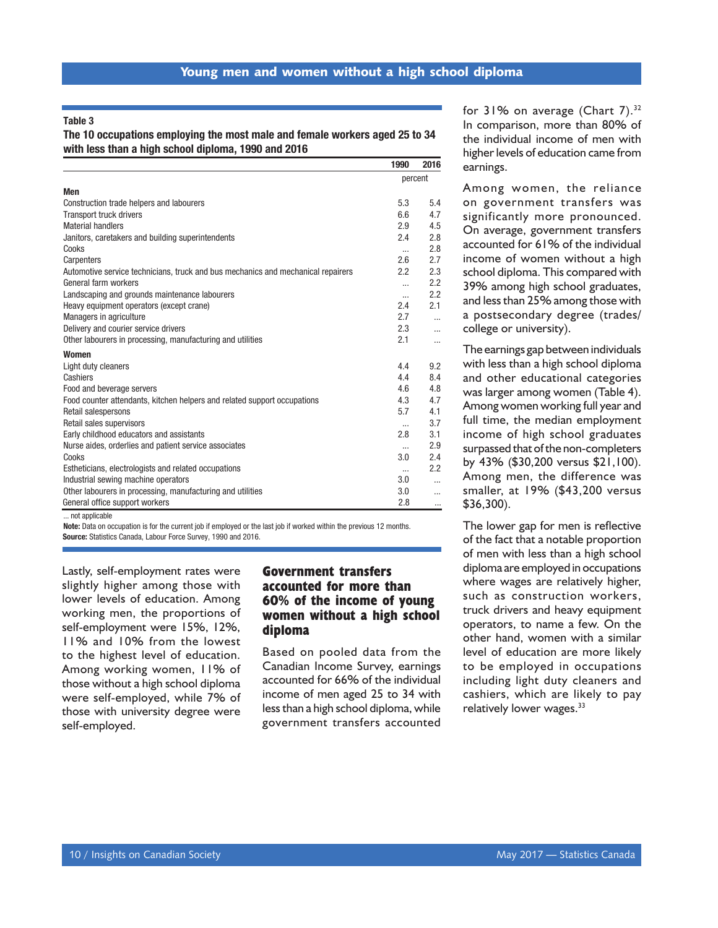Table 3

The 10 occupations employing the most male and female workers aged 25 to 34 with less than a high school diploma, 1990 and 2016

|                                                                                  | 1990     | 2016     |
|----------------------------------------------------------------------------------|----------|----------|
|                                                                                  | percent  |          |
| <b>Men</b>                                                                       |          |          |
| Construction trade helpers and labourers                                         | 5.3      | 5.4      |
| <b>Transport truck drivers</b>                                                   | 6.6      | 4.7      |
| <b>Material handlers</b>                                                         | 2.9      | 4.5      |
| Janitors, caretakers and building superintendents                                | 2.4      | 2.8      |
| Cooks                                                                            | $\cdots$ | 2.8      |
| Carpenters                                                                       | 2.6      | 2.7      |
| Automotive service technicians, truck and bus mechanics and mechanical repairers | 2.2      | 2.3      |
| General farm workers                                                             | $\cdots$ | 2.2      |
| Landscaping and grounds maintenance labourers                                    | $\cdots$ | 2.2      |
| Heavy equipment operators (except crane)                                         | 2.4      | 2.1      |
| Managers in agriculture                                                          | 2.7      |          |
| Delivery and courier service drivers                                             | 2.3      | $\cdots$ |
| Other labourers in processing, manufacturing and utilities                       | 2.1      | $\cdots$ |
| <b>Women</b>                                                                     |          |          |
| Light duty cleaners                                                              | 4.4      | 9.2      |
| Cashiers                                                                         | 4.4      | 8.4      |
| Food and beverage servers                                                        | 4.6      | 4.8      |
| Food counter attendants, kitchen helpers and related support occupations         | 4.3      | 4.7      |
| Retail salespersons                                                              | 5.7      | 4.1      |
| Retail sales supervisors                                                         | $\cdots$ | 3.7      |
| Early childhood educators and assistants                                         | 2.8      | 3.1      |
| Nurse aides, orderlies and patient service associates                            | $\cdots$ | 2.9      |
| Cooks                                                                            | 3.0      | 2.4      |
| Estheticians, electrologists and related occupations                             |          | 2.2      |
| Industrial sewing machine operators                                              | 3.0      |          |
| Other labourers in processing, manufacturing and utilities                       | 3.0      |          |
| General office support workers                                                   | 2.8      | $\cdots$ |

... not applicable

Note: Data on occupation is for the current job if employed or the last job if worked within the previous 12 months. Source: Statistics Canada, Labour Force Survey, 1990 and 2016.

Lastly, self-employment rates were slightly higher among those with lower levels of education. Among working men, the proportions of self-employment were 15%, 12%, 11% and 10% from the lowest to the highest level of education. Among working women, 11% of those without a high school diploma were self-employed, while 7% of those with university degree were self-employed.

# **Government transfers accounted for more than 60% of the income of young women without a high school diploma**

Based on pooled data from the Canadian Income Survey, earnings accounted for 66% of the individual income of men aged 25 to 34 with less than a high school diploma, while government transfers accounted

for 31% on average (Chart 7).<sup>32</sup> In comparison, more than 80% of the individual income of men with higher levels of education came from earnings.

Among women, the reliance on government transfers was significantly more pronounced. On average, government transfers accounted for 61% of the individual income of women without a high school diploma. This compared with 39% among high school graduates, and less than 25% among those with a postsecondary degree (trades/ college or university).

The earnings gap between individuals with less than a high school diploma and other educational categories was larger among women (Table 4). Among women working full year and full time, the median employment income of high school graduates surpassed that of the non-completers by 43% (\$30,200 versus \$21,100). Among men, the difference was smaller, at 19% (\$43,200 versus \$36,300).

The lower gap for men is reflective of the fact that a notable proportion of men with less than a high school diploma are employed in occupations where wages are relatively higher, such as construction workers, truck drivers and heavy equipment operators, to name a few. On the other hand, women with a similar level of education are more likely to be employed in occupations including light duty cleaners and cashiers, which are likely to pay relatively lower wages.<sup>33</sup>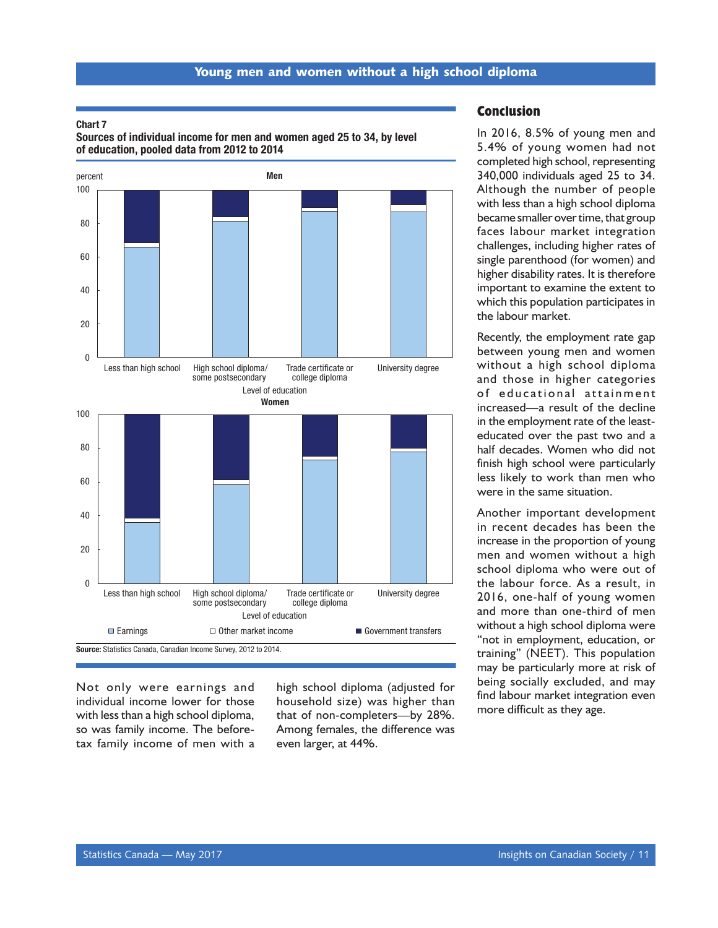#### Chart 7

Sources of individual income for men and women aged 25 to 34, by level of education, pooled data from 2012 to 2014



Not only were earnings and individual income lower for those with less than a high school diploma, so was family income. The beforetax family income of men with a

high school diploma (adjusted for household size) was higher than that of non-completers—by 28%. Among females, the difference was even larger, at 44%.

#### **Conclusion**

In 2016, 8.5% of young men and 5.4% of young women had not completed high school, representing 340,000 individuals aged 25 to 34. Although the number of people with less than a high school diploma became smaller over time, that group faces labour market integration challenges, including higher rates of single parenthood (for women) and higher disability rates. It is therefore important to examine the extent to which this population participates in the labour market.

Recently, the employment rate gap between young men and women without a high school diploma and those in higher categories of educational attainment increased—a result of the decline in the employment rate of the leasteducated over the past two and a half decades. Women who did not finish high school were particularly less likely to work than men who were in the same situation.

Another important development in recent decades has been the increase in the proportion of young men and women without a high school diploma who were out of the labour force. As a result, in 2016, one-half of young women and more than one-third of men without a high school diploma were "not in employment, education, or training" (NEET). This population may be particularly more at risk of being socially excluded, and may find labour market integration even more difficult as they age.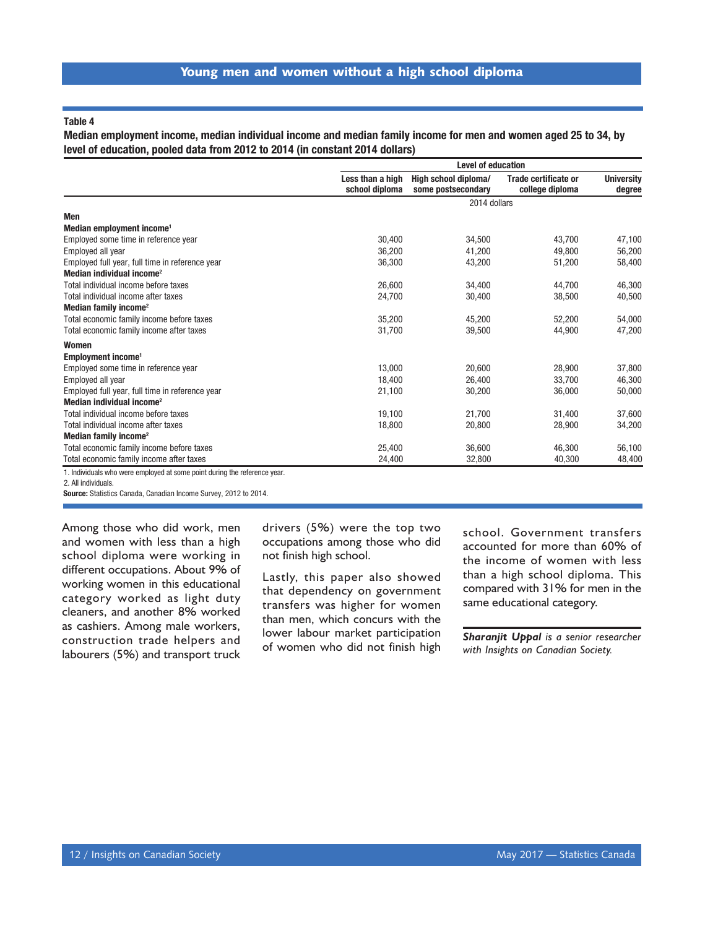#### Table 4

Median employment income, median individual income and median family income for men and women aged 25 to 34, by level of education, pooled data from 2012 to 2014 (in constant 2014 dollars)

|                                                                           |                                    | <b>Level of education</b>                  |                                                |                             |  |  |
|---------------------------------------------------------------------------|------------------------------------|--------------------------------------------|------------------------------------------------|-----------------------------|--|--|
|                                                                           | Less than a high<br>school diploma | High school diploma/<br>some postsecondary | <b>Trade certificate or</b><br>college diploma | <b>University</b><br>degree |  |  |
|                                                                           |                                    | 2014 dollars                               |                                                |                             |  |  |
| Men                                                                       |                                    |                                            |                                                |                             |  |  |
| Median employment income <sup>1</sup>                                     |                                    |                                            |                                                |                             |  |  |
| Employed some time in reference year                                      | 30.400                             | 34.500                                     | 43.700                                         | 47,100                      |  |  |
| Employed all year                                                         | 36,200                             | 41,200                                     | 49.800                                         | 56,200                      |  |  |
| Employed full year, full time in reference year                           | 36,300                             | 43,200                                     | 51,200                                         | 58,400                      |  |  |
| Median individual income <sup>2</sup>                                     |                                    |                                            |                                                |                             |  |  |
| Total individual income before taxes                                      | 26,600                             | 34,400                                     | 44,700                                         | 46,300                      |  |  |
| Total individual income after taxes                                       | 24,700                             | 30,400                                     | 38,500                                         | 40,500                      |  |  |
| Median family income <sup>2</sup>                                         |                                    |                                            |                                                |                             |  |  |
| Total economic family income before taxes                                 | 35,200                             | 45.200                                     | 52,200                                         | 54,000                      |  |  |
| Total economic family income after taxes                                  | 31,700                             | 39,500                                     | 44,900                                         | 47,200                      |  |  |
| <b>Women</b>                                                              |                                    |                                            |                                                |                             |  |  |
| Employment income <sup>1</sup>                                            |                                    |                                            |                                                |                             |  |  |
| Employed some time in reference year                                      | 13,000                             | 20,600                                     | 28,900                                         | 37,800                      |  |  |
| Employed all year                                                         | 18,400                             | 26,400                                     | 33,700                                         | 46,300                      |  |  |
| Employed full year, full time in reference year                           | 21,100                             | 30,200                                     | 36,000                                         | 50,000                      |  |  |
| Median individual income <sup>2</sup>                                     |                                    |                                            |                                                |                             |  |  |
| Total individual income before taxes                                      | 19,100                             | 21,700                                     | 31,400                                         | 37,600                      |  |  |
| Total individual income after taxes                                       | 18,800                             | 20,800                                     | 28,900                                         | 34,200                      |  |  |
| Median family income <sup>2</sup>                                         |                                    |                                            |                                                |                             |  |  |
| Total economic family income before taxes                                 | 25.400                             | 36.600                                     | 46,300                                         | 56,100                      |  |  |
| Total economic family income after taxes                                  | 24,400                             | 32,800                                     | 40,300                                         | 48,400                      |  |  |
| t legislature who were employed at earne point during the reference year. |                                    |                                            |                                                |                             |  |  |

1. Individuals who were employed at some point during the reference year.

Source: Statistics Canada, Canadian Income Survey, 2012 to 2014.

Among those who did work, men and women with less than a high school diploma were working in different occupations. About 9% of working women in this educational category worked as light duty cleaners, and another 8% worked as cashiers. Among male workers, construction trade helpers and labourers (5%) and transport truck drivers (5%) were the top two occupations among those who did not finish high school.

Lastly, this paper also showed that dependency on government transfers was higher for women than men, which concurs with the lower labour market participation of women who did not finish high school. Government transfers accounted for more than 60% of the income of women with less than a high school diploma. This compared with 31% for men in the same educational category.

*Sharanjit Uppal is a senior researcher with Insights on Canadian Society.*

<sup>2.</sup> All individuals.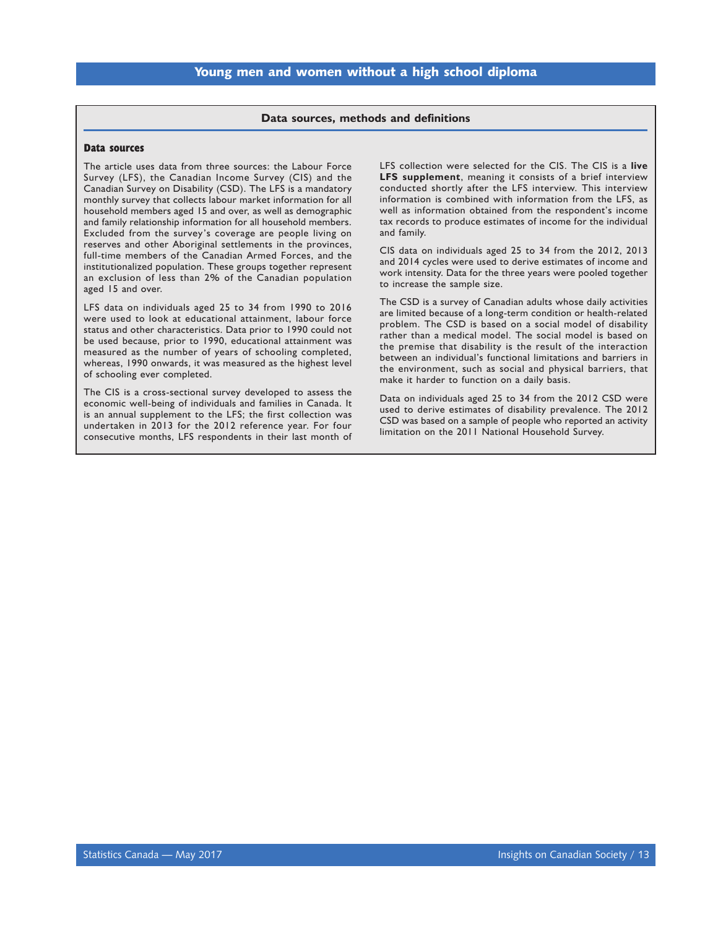#### **Data sources, methods and definitions**

#### <span id="page-14-0"></span>**Data sources**

The article uses data from three sources: the Labour Force Survey (LFS), the Canadian Income Survey (CIS) and the Canadian Survey on Disability (CSD). The LFS is a mandatory monthly survey that collects labour market information for all household members aged 15 and over, as well as demographic and family relationship information for all household members. Excluded from the survey's coverage are people living on reserves and other Aboriginal settlements in the provinces, full-time members of the Canadian Armed Forces, and the institutionalized population. These groups together represent an exclusion of less than 2% of the Canadian population aged 15 and over.

LFS data on individuals aged 25 to 34 from 1990 to 2016 were used to look at educational attainment, labour force status and other characteristics. Data prior to 1990 could not be used because, prior to 1990, educational attainment was measured as the number of years of schooling completed, whereas, 1990 onwards, it was measured as the highest level of schooling ever completed.

The CIS is a cross-sectional survey developed to assess the economic well-being of individuals and families in Canada. It is an annual supplement to the LFS; the first collection was undertaken in 2013 for the 2012 reference year. For four consecutive months, LFS respondents in their last month of

LFS collection were selected for the CIS. The CIS is a **live LFS supplement**, meaning it consists of a brief interview conducted shortly after the LFS interview. This interview information is combined with information from the LFS, as well as information obtained from the respondent's income tax records to produce estimates of income for the individual and family.

CIS data on individuals aged 25 to 34 from the 2012, 2013 and 2014 cycles were used to derive estimates of income and work intensity. Data for the three years were pooled together to increase the sample size.

The CSD is a survey of Canadian adults whose daily activities are limited because of a long-term condition or health-related problem. The CSD is based on a social model of disability rather than a medical model. The social model is based on the premise that disability is the result of the interaction between an individual's functional limitations and barriers in the environment, such as social and physical barriers, that make it harder to function on a daily basis.

Data on individuals aged 25 to 34 from the 2012 CSD were used to derive estimates of disability prevalence. The 2012 CSD was based on a sample of people who reported an activity limitation on the 2011 National Household Survey.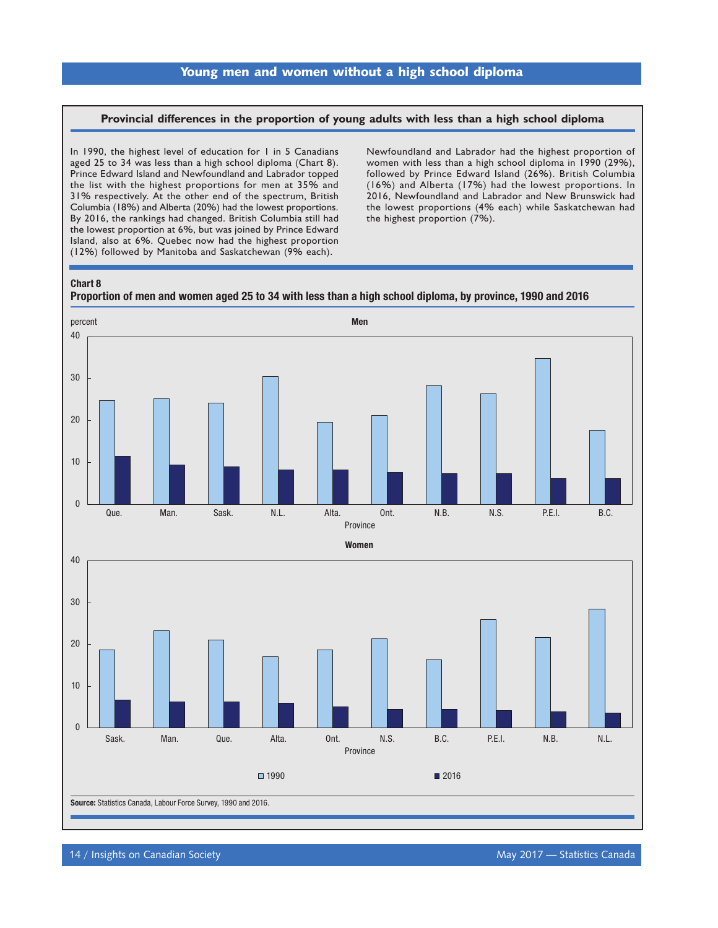### **Provincial differences in the proportion of young adults with less than a high school diploma**

In 1990, the highest level of education for 1 in 5 Canadians aged 25 to 34 was less than a high school diploma (Chart 8). Prince Edward Island and Newfoundland and Labrador topped the list with the highest proportions for men at 35% and 31% respectively. At the other end of the spectrum, British Columbia (18%) and Alberta (20%) had the lowest proportions. By 2016, the rankings had changed. British Columbia still had the lowest proportion at 6%, but was joined by Prince Edward Island, also at 6%. Quebec now had the highest proportion (12%) followed by Manitoba and Saskatchewan (9% each).

Newfoundland and Labrador had the highest proportion of women with less than a high school diploma in 1990 (29%), followed by Prince Edward Island (26%). British Columbia (16%) and Alberta (17%) had the lowest proportions. In 2016, Newfoundland and Labrador and New Brunswick had the lowest proportions (4% each) while Saskatchewan had the highest proportion (7%).

#### Chart 8



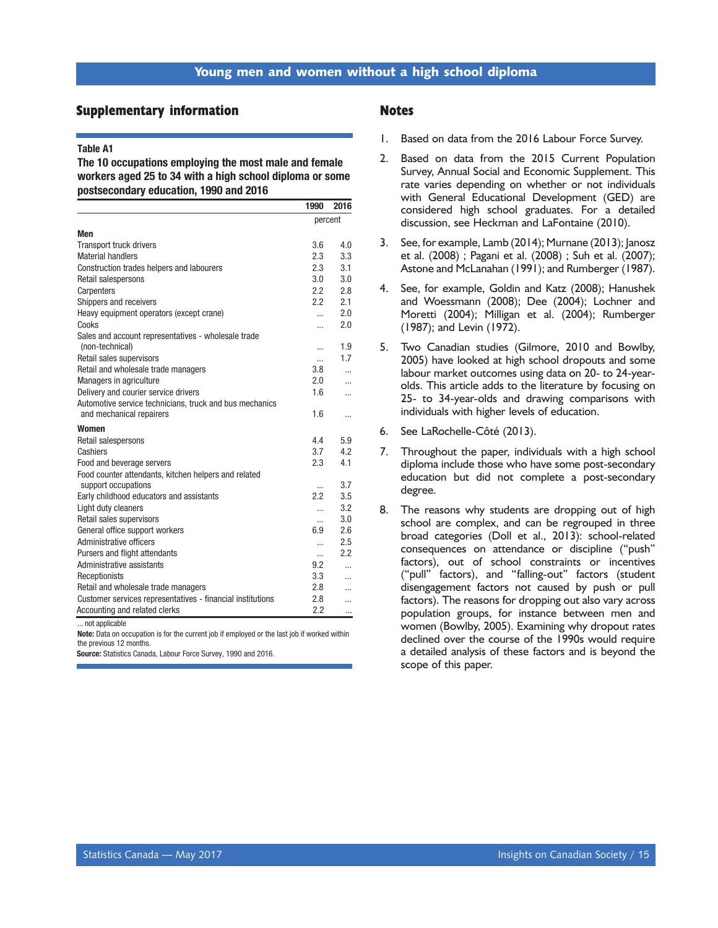#### <span id="page-16-0"></span>**Supplementary information**

#### Table A1

The 10 occupations employing the most male and female workers aged 25 to 34 with a high school diploma or some postsecondary education, 1990 and 2016

|                                                                                                   | 1990     | 2016      |  |
|---------------------------------------------------------------------------------------------------|----------|-----------|--|
|                                                                                                   | percent  |           |  |
| <b>Men</b>                                                                                        |          |           |  |
| <b>Transport truck drivers</b>                                                                    | 3.6      | 4.0       |  |
| <b>Material handlers</b>                                                                          | 2.3      | 3.3       |  |
| Construction trades helpers and labourers                                                         | 2.3      | 3.1       |  |
| Retail salespersons                                                                               | 3.0      | 3.0       |  |
| Carpenters                                                                                        | 2.2      | 2.8       |  |
| Shippers and receivers                                                                            | 2.2      | 2.1       |  |
| Heavy equipment operators (except crane)                                                          | $\cdots$ | 2.0       |  |
| Cooks                                                                                             |          | 2.0       |  |
| Sales and account representatives - wholesale trade<br>(non-technical)                            |          | 1.9       |  |
| Retail sales supervisors                                                                          |          | 1.7       |  |
| Retail and wholesale trade managers                                                               | <br>3.8  |           |  |
| <b>Managers in agriculture</b>                                                                    | 2.0      | $\ddotsc$ |  |
| Delivery and courier service drivers                                                              | 1.6      | .         |  |
| Automotive service technicians, truck and bus mechanics                                           |          | $\ddotsc$ |  |
| and mechanical repairers                                                                          | 1.6      | $\cdots$  |  |
| <b>Women</b>                                                                                      |          |           |  |
| Retail salespersons                                                                               | 4.4      | 5.9       |  |
| Cashiers                                                                                          | 3.7      | 4.2       |  |
| Food and beverage servers                                                                         | 2.3      | 4.1       |  |
| Food counter attendants, kitchen helpers and related                                              |          | 3.7       |  |
| support occupations<br>Early childhood educators and assistants                                   | <br>2.2  | 3.5       |  |
|                                                                                                   |          | 3.2       |  |
| Light duty cleaners<br>Retail sales supervisors                                                   | $\cdots$ | 3.0       |  |
| General office support workers                                                                    | <br>6.9  | 2.6       |  |
| Administrative officers                                                                           |          | 2.5       |  |
| Pursers and flight attendants                                                                     | $\cdots$ | 2.2       |  |
| Administrative assistants                                                                         | <br>9.2  |           |  |
|                                                                                                   | 3.3      | .         |  |
| Receptionists                                                                                     | 2.8      | $\ddotsc$ |  |
| Retail and wholesale trade managers<br>Customer services representatives - financial institutions | 2.8      | $\cdots$  |  |
|                                                                                                   | 2.2      | $\ddotsc$ |  |
| Accounting and related clerks                                                                     |          |           |  |

. not applicable

Note: Data on occupation is for the current job if employed or the last job if worked within the previous 12 months.

Source: Statistics Canada, Labour Force Survey, 1990 and 2016.

#### **Notes**

- 1. Based on data from the 2016 Labour Force Survey.
- 2. Based on data from the 2015 Current Population Survey, Annual Social and Economic Supplement. This rate varies depending on whether or not individuals with General Educational Development (GED) are considered high school graduates. For a detailed discussion, see Heckman and LaFontaine (2010).
- 3. See, for example, Lamb (2014); Murnane (2013); Janosz et al. (2008) ; Pagani et al. (2008) ; Suh et al. (2007); Astone and McLanahan (1991); and Rumberger (1987).
- 4. See, for example, Goldin and Katz (2008); Hanushek and Woessmann (2008); Dee (2004); Lochner and Moretti (2004); Milligan et al. (2004); Rumberger (1987); and Levin (1972).
- 5. Two Canadian studies (Gilmore, 2010 and Bowlby, 2005) have looked at high school dropouts and some labour market outcomes using data on 20- to 24-yearolds. This article adds to the literature by focusing on 25- to 34-year-olds and drawing comparisons with individuals with higher levels of education.
- 6. See LaRochelle-Côté (2013).
- 7. Throughout the paper, individuals with a high school diploma include those who have some post-secondary education but did not complete a post-secondary degree.
- 8. The reasons why students are dropping out of high school are complex, and can be regrouped in three broad categories (Doll et al., 2013): school-related consequences on attendance or discipline ("push" factors), out of school constraints or incentives ("pull" factors), and "falling-out" factors (student disengagement factors not caused by push or pull factors). The reasons for dropping out also vary across population groups, for instance between men and women (Bowlby, 2005). Examining why dropout rates declined over the course of the 1990s would require a detailed analysis of these factors and is beyond the scope of this paper.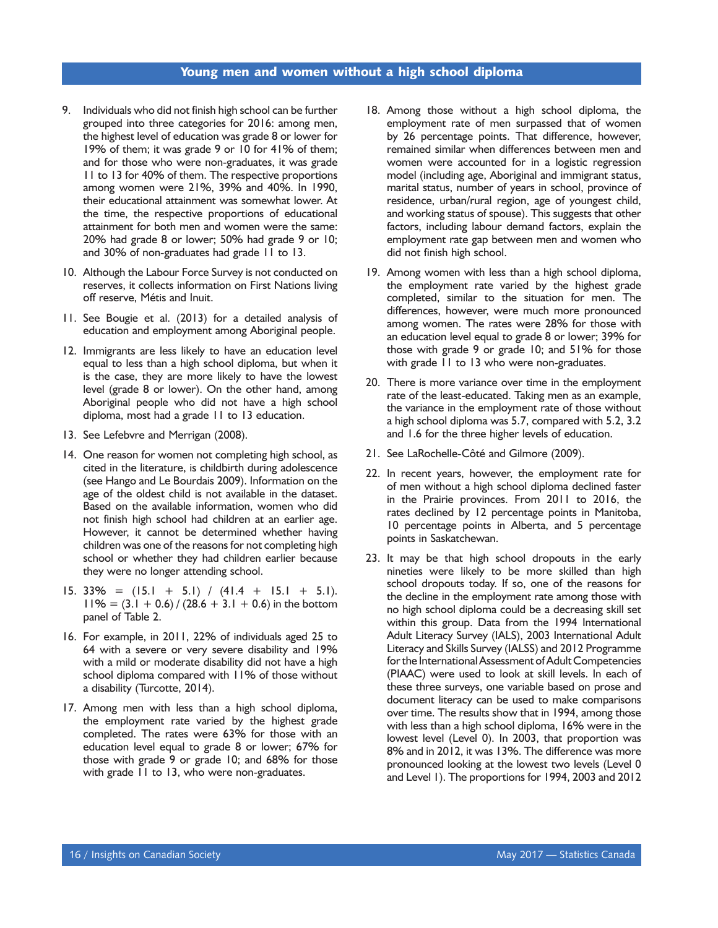- 9. Individuals who did not finish high school can be further grouped into three categories for 2016: among men, the highest level of education was grade 8 or lower for 19% of them; it was grade 9 or 10 for 41% of them; and for those who were non-graduates, it was grade 11 to 13 for 40% of them. The respective proportions among women were 21%, 39% and 40%. In 1990, their educational attainment was somewhat lower. At the time, the respective proportions of educational attainment for both men and women were the same: 20% had grade 8 or lower; 50% had grade 9 or 10; and 30% of non-graduates had grade 11 to 13.
- 10. Although the Labour Force Survey is not conducted on reserves, it collects information on First Nations living off reserve, Métis and Inuit.
- 11. See Bougie et al. (2013) for a detailed analysis of education and employment among Aboriginal people.
- 12. Immigrants are less likely to have an education level equal to less than a high school diploma, but when it is the case, they are more likely to have the lowest level (grade 8 or lower). On the other hand, among Aboriginal people who did not have a high school diploma, most had a grade 11 to 13 education.
- 13. See Lefebvre and Merrigan (2008).
- 14. One reason for women not completing high school, as cited in the literature, is childbirth during adolescence (see Hango and Le Bourdais 2009). Information on the age of the oldest child is not available in the dataset. Based on the available information, women who did not finish high school had children at an earlier age. However, it cannot be determined whether having children was one of the reasons for not completing high school or whether they had children earlier because they were no longer attending school.
- 15. 33% =  $(15.1 + 5.1) / (41.4 + 15.1 + 5.1)$ .  $11\% = (3.1 + 0.6) / (28.6 + 3.1 + 0.6)$  in the bottom panel of Table 2.
- 16. For example, in 2011, 22% of individuals aged 25 to 64 with a severe or very severe disability and 19% with a mild or moderate disability did not have a high school diploma compared with 11% of those without a disability (Turcotte, 2014).
- 17. Among men with less than a high school diploma, the employment rate varied by the highest grade completed. The rates were 63% for those with an education level equal to grade 8 or lower; 67% for those with grade 9 or grade 10; and 68% for those with grade 11 to 13, who were non-graduates.
- 18. Among those without a high school diploma, the employment rate of men surpassed that of women by 26 percentage points. That difference, however, remained similar when differences between men and women were accounted for in a logistic regression model (including age, Aboriginal and immigrant status, marital status, number of years in school, province of residence, urban/rural region, age of youngest child, and working status of spouse). This suggests that other factors, including labour demand factors, explain the employment rate gap between men and women who did not finish high school.
- 19. Among women with less than a high school diploma, the employment rate varied by the highest grade completed, similar to the situation for men. The differences, however, were much more pronounced among women. The rates were 28% for those with an education level equal to grade 8 or lower; 39% for those with grade 9 or grade 10; and 51% for those with grade 11 to 13 who were non-graduates.
- 20. There is more variance over time in the employment rate of the least-educated. Taking men as an example, the variance in the employment rate of those without a high school diploma was 5.7, compared with 5.2, 3.2 and 1.6 for the three higher levels of education.
- 21. See LaRochelle-Côté and Gilmore (2009).
- 22. In recent years, however, the employment rate for of men without a high school diploma declined faster in the Prairie provinces. From 2011 to 2016, the rates declined by 12 percentage points in Manitoba, 10 percentage points in Alberta, and 5 percentage points in Saskatchewan.
- 23. It may be that high school dropouts in the early nineties were likely to be more skilled than high school dropouts today. If so, one of the reasons for the decline in the employment rate among those with no high school diploma could be a decreasing skill set within this group. Data from the 1994 International Adult Literacy Survey (IALS), 2003 International Adult Literacy and Skills Survey (IALSS) and 2012 Programme for the International Assessment of Adult Competencies (PIAAC) were used to look at skill levels. In each of these three surveys, one variable based on prose and document literacy can be used to make comparisons over time. The results show that in 1994, among those with less than a high school diploma, 16% were in the lowest level (Level 0). In 2003, that proportion was 8% and in 2012, it was 13%. The difference was more pronounced looking at the lowest two levels (Level 0 and Level 1). The proportions for 1994, 2003 and 2012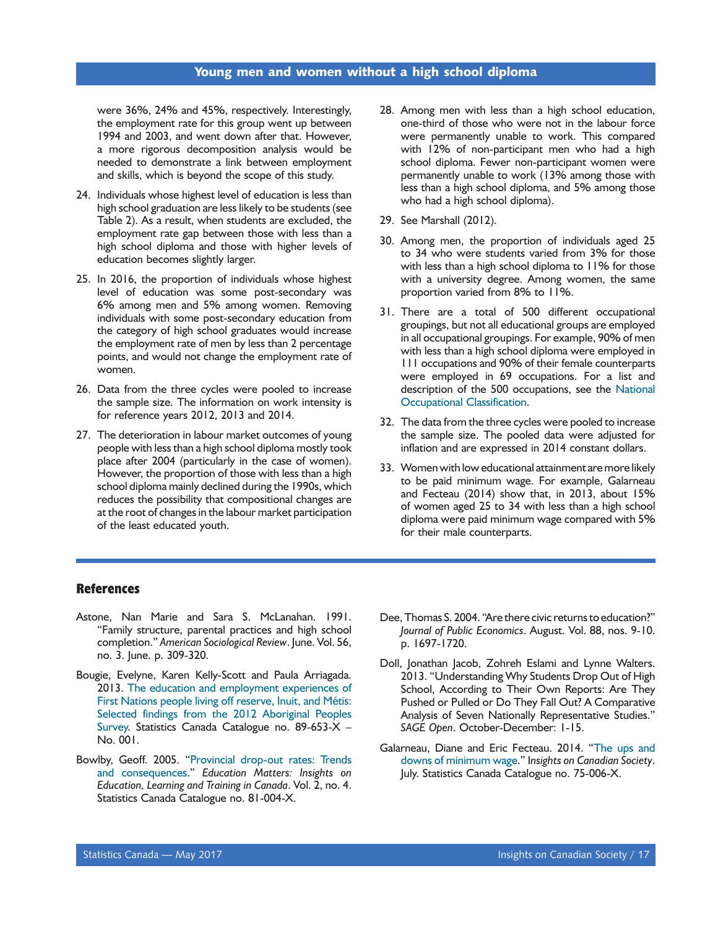were 36%, 24% and 45%, respectively. Interestingly, the employment rate for this group went up between 1994 and 2003, and went down after that. However, a more rigorous decomposition analysis would be needed to demonstrate a link between employment and skills, which is beyond the scope of this study.

- 24. Individuals whose highest level of education is less than high school graduation are less likely to be students (see Table 2). As a result, when students are excluded, the employment rate gap between those with less than a high school diploma and those with higher levels of education becomes slightly larger.
- 25. In 2016, the proportion of individuals whose highest level of education was some post-secondary was 6% among men and 5% among women. Removing individuals with some post-secondary education from the category of high school graduates would increase the employment rate of men by less than 2 percentage points, and would not change the employment rate of women.
- 26. Data from the three cycles were pooled to increase the sample size. The information on work intensity is for reference years 2012, 2013 and 2014.
- 27. The deterioration in labour market outcomes of young people with less than a high school diploma mostly took place after 2004 (particularly in the case of women). However, the proportion of those with less than a high school diploma mainly declined during the 1990s, which reduces the possibility that compositional changes are at the root of changes in the labour market participation of the least educated youth.
- 28. Among men with less than a high school education, one-third of those who were not in the labour force were permanently unable to work. This compared with 12% of non-participant men who had a high school diploma. Fewer non-participant women were permanently unable to work (13% among those with less than a high school diploma, and 5% among those who had a high school diploma).
- 29. See Marshall (2012).
- 30. Among men, the proportion of individuals aged 25 to 34 who were students varied from 3% for those with less than a high school diploma to 11% for those with a university degree. Among women, the same proportion varied from 8% to 11%.
- 31. There are a total of 500 different occupational groupings, but not all educational groups are employed in all occupational groupings. For example, 90% of men with less than a high school diploma were employed in 111 occupations and 90% of their female counterparts were employed in 69 occupations. For a list and description of the 500 occupations, see the [National](http://www.statcan.gc.ca/eng/subjects/standard/noc/2011/index) [Occupational Classification](http://www.statcan.gc.ca/eng/subjects/standard/noc/2011/index).
- 32. The data from the three cycles were pooled to increase the sample size. The pooled data were adjusted for inflation and are expressed in 2014 constant dollars.
- 33. Women with low educational attainment are more likely to be paid minimum wage. For example, Galarneau and Fecteau (2014) show that, in 2013, about 15% of women aged 25 to 34 with less than a high school diploma were paid minimum wage compared with 5% for their male counterparts.

#### **References**

- Astone, Nan Marie and Sara S. McLanahan. 1991. "Family structure, parental practices and high school completion." *American Sociological Review*. June. Vol. 56, no. 3. June. p. 309-320.
- Bougie, Evelyne, Karen Kelly-Scott and Paula Arriagada. 2013. [The education and employment experiences of](http://www.statcan.gc.ca/pub/89-653-x/89-653-x2013001-eng.htm) [First Nations people living off reserve, Inuit, and Métis:](http://www.statcan.gc.ca/pub/89-653-x/89-653-x2013001-eng.htm)  [Selected findings from the 2012 Aboriginal Peoples](http://www.statcan.gc.ca/pub/89-653-x/89-653-x2013001-eng.htm) [Survey.](http://www.statcan.gc.ca/pub/89-653-x/89-653-x2013001-eng.htm) Statistics Canada Catalogue no. 89-653-X – No. 001.
- Bowlby, Geoff. 2005. ["Provincial drop-out rates: Trends](http://www.statcan.gc.ca/pub/81-004-x/2005004/8984-eng.htm) [and consequences.](http://www.statcan.gc.ca/pub/81-004-x/2005004/8984-eng.htm)" *Education Matters: Insights on Education, Learning and Training in Canada*. Vol. 2, no. 4. Statistics Canada Catalogue no. 81-004-X.
- Dee, Thomas S. 2004. "Are there civic returns to education?" *Journal of Public Economics*. August. Vol. 88, nos. 9-10. p. 1697-1720.
- Doll, Jonathan Jacob, Zohreh Eslami and Lynne Walters. 2013. "Understanding Why Students Drop Out of High School, According to Their Own Reports: Are They Pushed or Pulled or Do They Fall Out? A Comparative Analysis of Seven Nationally Representative Studies." *SAGE Open*. October-December: 1-15.
- Galarneau, Diane and Eric Fecteau. 2014. ["The ups and](http://www.statcan.gc.ca/pub/75-006-x/2014001/article/14035-eng.htm) [downs of minimum wage](http://www.statcan.gc.ca/pub/75-006-x/2014001/article/14035-eng.htm)." I*nsights on Canadian Society*. July. Statistics Canada Catalogue no. 75-006-X.